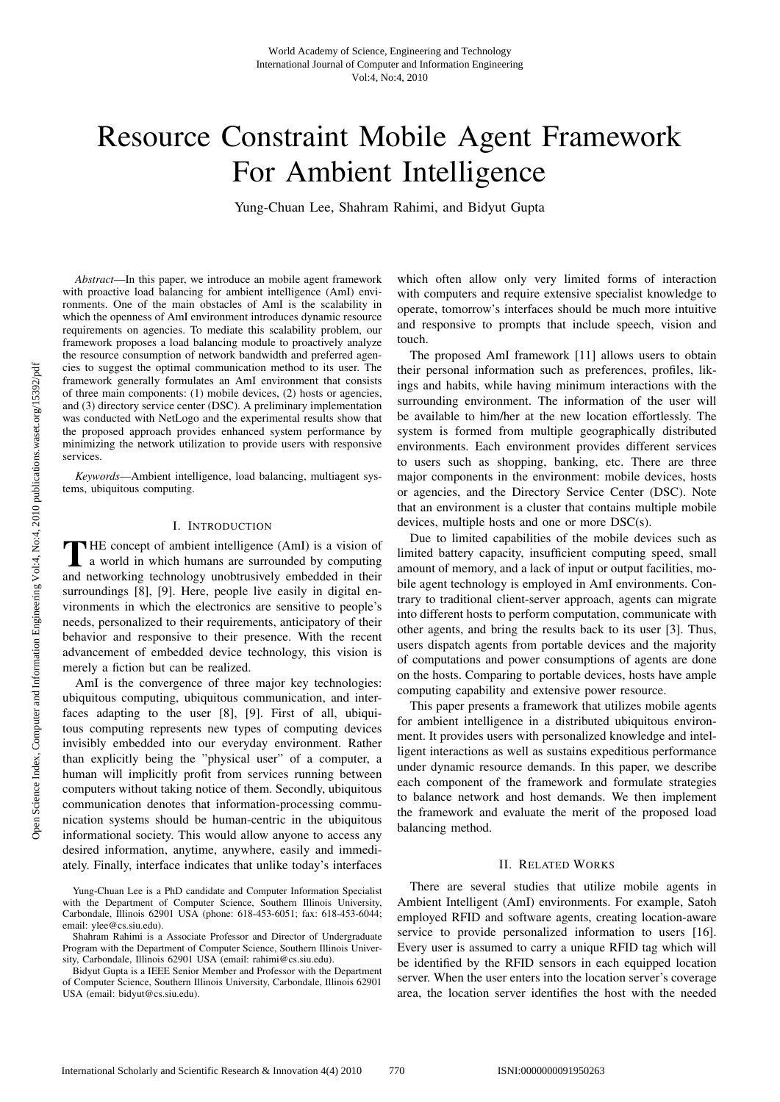# Resource Constraint Mobile Agent Framework For Ambient Intelligence

Yung-Chuan Lee, Shahram Rahimi, and Bidyut Gupta

*Abstract*—In this paper, we introduce an mobile agent framework with proactive load balancing for ambient intelligence (AmI) environments. One of the main obstacles of AmI is the scalability in which the openness of AmI environment introduces dynamic resource requirements on agencies. To mediate this scalability problem, our framework proposes a load balancing module to proactively analyze the resource consumption of network bandwidth and preferred agencies to suggest the optimal communication method to its user. The framework generally formulates an AmI environment that consists of three main components: (1) mobile devices, (2) hosts or agencies, and (3) directory service center (DSC). A preliminary implementation was conducted with NetLogo and the experimental results show that the proposed approach provides enhanced system performance by minimizing the network utilization to provide users with responsive services.

*Keywords*—Ambient intelligence, load balancing, multiagent systems, ubiquitous computing.

# I. INTRODUCTION

THE concept of ambient intelligence (AmI) is a vision of<br>a world in which humans are surrounded by computing and networking technology unobtrusively embedded in their surroundings [8], [9]. Here, people live easily in digital environments in which the electronics are sensitive to people's needs, personalized to their requirements, anticipatory of their behavior and responsive to their presence. With the recent advancement of embedded device technology, this vision is merely a fiction but can be realized.

AmI is the convergence of three major key technologies: ubiquitous computing, ubiquitous communication, and interfaces adapting to the user [8], [9]. First of all, ubiquitous computing represents new types of computing devices invisibly embedded into our everyday environment. Rather than explicitly being the "physical user" of a computer, a human will implicitly profit from services running between computers without taking notice of them. Secondly, ubiquitous communication denotes that information-processing communication systems should be human-centric in the ubiquitous informational society. This would allow anyone to access any desired information, anytime, anywhere, easily and immediately. Finally, interface indicates that unlike today's interfaces

which often allow only very limited forms of interaction with computers and require extensive specialist knowledge to operate, tomorrow's interfaces should be much more intuitive and responsive to prompts that include speech, vision and touch.

The proposed AmI framework [11] allows users to obtain their personal information such as preferences, profiles, likings and habits, while having minimum interactions with the surrounding environment. The information of the user will be available to him/her at the new location effortlessly. The system is formed from multiple geographically distributed environments. Each environment provides different services to users such as shopping, banking, etc. There are three major components in the environment: mobile devices, hosts or agencies, and the Directory Service Center (DSC). Note that an environment is a cluster that contains multiple mobile devices, multiple hosts and one or more DSC(s).

Due to limited capabilities of the mobile devices such as limited battery capacity, insufficient computing speed, small amount of memory, and a lack of input or output facilities, mobile agent technology is employed in AmI environments. Contrary to traditional client-server approach, agents can migrate into different hosts to perform computation, communicate with other agents, and bring the results back to its user [3]. Thus, users dispatch agents from portable devices and the majority of computations and power consumptions of agents are done on the hosts. Comparing to portable devices, hosts have ample computing capability and extensive power resource.

This paper presents a framework that utilizes mobile agents for ambient intelligence in a distributed ubiquitous environment. It provides users with personalized knowledge and intelligent interactions as well as sustains expeditious performance under dynamic resource demands. In this paper, we describe each component of the framework and formulate strategies to balance network and host demands. We then implement the framework and evaluate the merit of the proposed load balancing method.

#### II. RELATED WORKS

There are several studies that utilize mobile agents in Ambient Intelligent (AmI) environments. For example, Satoh employed RFID and software agents, creating location-aware service to provide personalized information to users [16]. Every user is assumed to carry a unique RFID tag which will be identified by the RFID sensors in each equipped location server. When the user enters into the location server's coverage area, the location server identifies the host with the needed

Yung-Chuan Lee is a PhD candidate and Computer Information Specialist with the Department of Computer Science, Southern Illinois University, Carbondale, Illinois 62901 USA (phone: 618-453-6051; fax: 618-453-6044; email: ylee@cs.siu.edu).

Shahram Rahimi is a Associate Professor and Director of Undergraduate Program with the Department of Computer Science, Southern Illinois University, Carbondale, Illinois 62901 USA (email: rahimi@cs.siu.edu).

Bidyut Gupta is a IEEE Senior Member and Professor with the Department of Computer Science, Southern Illinois University, Carbondale, Illinois 62901 USA (email: bidyut@cs.siu.edu).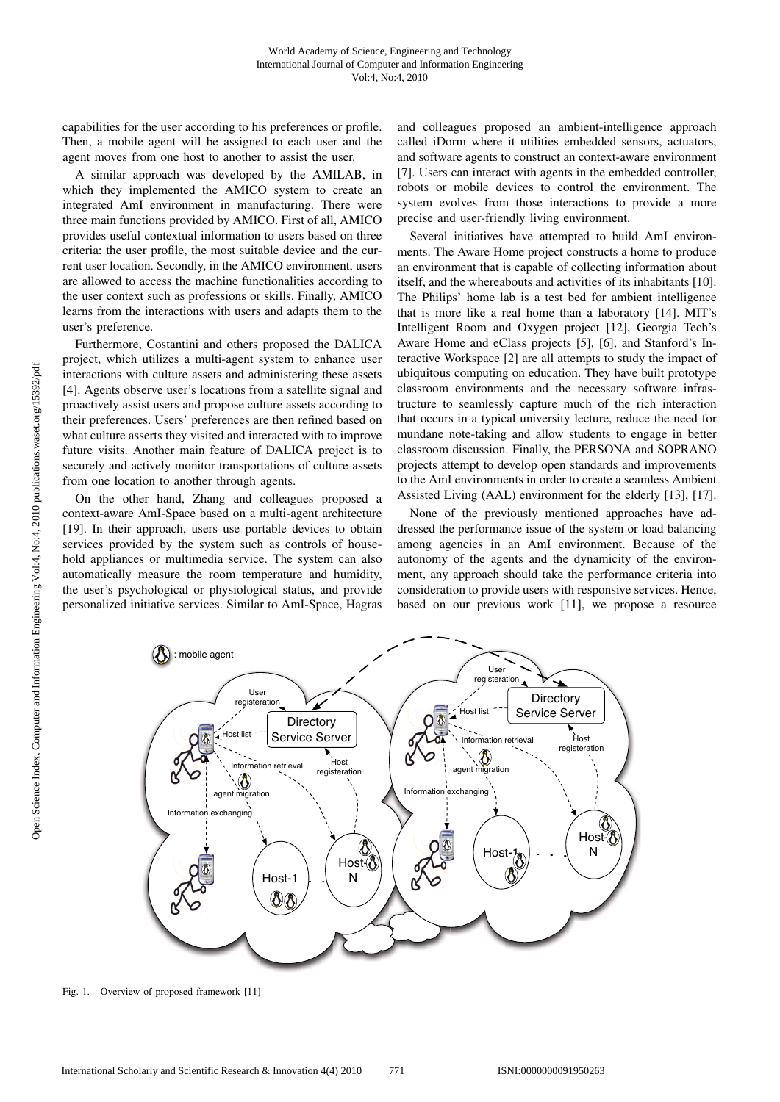capabilities for the user according to his preferences or profile. Then, a mobile agent will be assigned to each user and the agent moves from one host to another to assist the user.

A similar approach was developed by the AMILAB, in which they implemented the AMICO system to create an integrated AmI environment in manufacturing. There were three main functions provided by AMICO. First of all, AMICO provides useful contextual information to users based on three criteria: the user profile, the most suitable device and the current user location. Secondly, in the AMICO environment, users are allowed to access the machine functionalities according to the user context such as professions or skills. Finally, AMICO learns from the interactions with users and adapts them to the user's preference.

Furthermore, Costantini and others proposed the DALICA project, which utilizes a multi-agent system to enhance user interactions with culture assets and administering these assets [4]. Agents observe user's locations from a satellite signal and proactively assist users and propose culture assets according to their preferences. Users' preferences are then refined based on what culture asserts they visited and interacted with to improve future visits. Another main feature of DALICA project is to securely and actively monitor transportations of culture assets from one location to another through agents.

On the other hand, Zhang and colleagues proposed a context-aware AmI-Space based on a multi-agent architecture [19]. In their approach, users use portable devices to obtain services provided by the system such as controls of household appliances or multimedia service. The system can also automatically measure the room temperature and humidity, the user's psychological or physiological status, and provide personalized initiative services. Similar to AmI-Space, Hagras

and colleagues proposed an ambient-intelligence approach called iDorm where it utilities embedded sensors, actuators, and software agents to construct an context-aware environment [7]. Users can interact with agents in the embedded controller, robots or mobile devices to control the environment. The system evolves from those interactions to provide a more precise and user-friendly living environment.

Several initiatives have attempted to build AmI environments. The Aware Home project constructs a home to produce an environment that is capable of collecting information about itself, and the whereabouts and activities of its inhabitants [10]. The Philips' home lab is a test bed for ambient intelligence that is more like a real home than a laboratory [14]. MIT's Intelligent Room and Oxygen project [12], Georgia Tech's Aware Home and eClass projects [5], [6], and Stanford's Interactive Workspace [2] are all attempts to study the impact of ubiquitous computing on education. They have built prototype classroom environments and the necessary software infrastructure to seamlessly capture much of the rich interaction that occurs in a typical university lecture, reduce the need for mundane note-taking and allow students to engage in better classroom discussion. Finally, the PERSONA and SOPRANO projects attempt to develop open standards and improvements to the AmI environments in order to create a seamless Ambient Assisted Living (AAL) environment for the elderly [13], [17].

None of the previously mentioned approaches have addressed the performance issue of the system or load balancing among agencies in an AmI environment. Because of the autonomy of the agents and the dynamicity of the environment, any approach should take the performance criteria into consideration to provide users with responsive services. Hence, based on our previous work [11], we propose a resource



Fig. 1. Overview of proposed framework [11]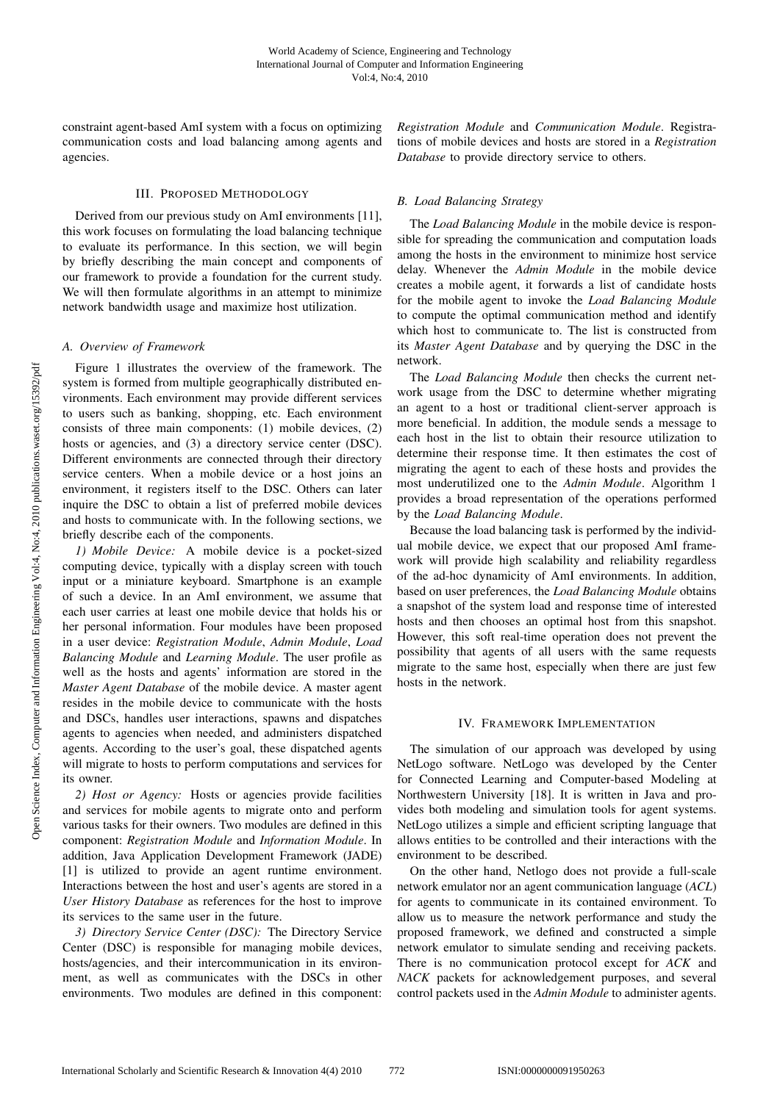constraint agent-based AmI system with a focus on optimizing communication costs and load balancing among agents and agencies.

## III. PROPOSED METHODOLOGY

Derived from our previous study on AmI environments [11], this work focuses on formulating the load balancing technique to evaluate its performance. In this section, we will begin by briefly describing the main concept and components of our framework to provide a foundation for the current study. We will then formulate algorithms in an attempt to minimize network bandwidth usage and maximize host utilization.

## *A. Overview of Framework*

Figure 1 illustrates the overview of the framework. The system is formed from multiple geographically distributed environments. Each environment may provide different services to users such as banking, shopping, etc. Each environment consists of three main components: (1) mobile devices, (2) hosts or agencies, and (3) a directory service center (DSC). Different environments are connected through their directory service centers. When a mobile device or a host joins an environment, it registers itself to the DSC. Others can later inquire the DSC to obtain a list of preferred mobile devices and hosts to communicate with. In the following sections, we briefly describe each of the components.

*1) Mobile Device:* A mobile device is a pocket-sized computing device, typically with a display screen with touch input or a miniature keyboard. Smartphone is an example of such a device. In an AmI environment, we assume that each user carries at least one mobile device that holds his or her personal information. Four modules have been proposed in a user device: *Registration Module*, *Admin Module*, *Load Balancing Module* and *Learning Module*. The user profile as well as the hosts and agents' information are stored in the *Master Agent Database* of the mobile device. A master agent resides in the mobile device to communicate with the hosts and DSCs, handles user interactions, spawns and dispatches agents to agencies when needed, and administers dispatched agents. According to the user's goal, these dispatched agents will migrate to hosts to perform computations and services for its owner.

*2) Host or Agency:* Hosts or agencies provide facilities and services for mobile agents to migrate onto and perform various tasks for their owners. Two modules are defined in this component: *Registration Module* and *Information Module*. In addition, Java Application Development Framework (JADE) [1] is utilized to provide an agent runtime environment. Interactions between the host and user's agents are stored in a *User History Database* as references for the host to improve its services to the same user in the future.

*3) Directory Service Center (DSC):* The Directory Service Center (DSC) is responsible for managing mobile devices, hosts/agencies, and their intercommunication in its environment, as well as communicates with the DSCs in other environments. Two modules are defined in this component:

*Registration Module* and *Communication Module*. Registrations of mobile devices and hosts are stored in a *Registration Database* to provide directory service to others.

## *B. Load Balancing Strategy*

The *Load Balancing Module* in the mobile device is responsible for spreading the communication and computation loads among the hosts in the environment to minimize host service delay. Whenever the *Admin Module* in the mobile device creates a mobile agent, it forwards a list of candidate hosts for the mobile agent to invoke the *Load Balancing Module* to compute the optimal communication method and identify which host to communicate to. The list is constructed from its *Master Agent Database* and by querying the DSC in the network.

The *Load Balancing Module* then checks the current network usage from the DSC to determine whether migrating an agent to a host or traditional client-server approach is more beneficial. In addition, the module sends a message to each host in the list to obtain their resource utilization to determine their response time. It then estimates the cost of migrating the agent to each of these hosts and provides the most underutilized one to the *Admin Module*. Algorithm 1 provides a broad representation of the operations performed by the *Load Balancing Module*.

Because the load balancing task is performed by the individual mobile device, we expect that our proposed AmI framework will provide high scalability and reliability regardless of the ad-hoc dynamicity of AmI environments. In addition, based on user preferences, the *Load Balancing Module* obtains a snapshot of the system load and response time of interested hosts and then chooses an optimal host from this snapshot. However, this soft real-time operation does not prevent the possibility that agents of all users with the same requests migrate to the same host, especially when there are just few hosts in the network.

## IV. FRAMEWORK IMPLEMENTATION

The simulation of our approach was developed by using NetLogo software. NetLogo was developed by the Center for Connected Learning and Computer-based Modeling at Northwestern University [18]. It is written in Java and provides both modeling and simulation tools for agent systems. NetLogo utilizes a simple and efficient scripting language that allows entities to be controlled and their interactions with the environment to be described.

On the other hand, Netlogo does not provide a full-scale network emulator nor an agent communication language (*ACL*) for agents to communicate in its contained environment. To allow us to measure the network performance and study the proposed framework, we defined and constructed a simple network emulator to simulate sending and receiving packets. There is no communication protocol except for *ACK* and *NACK* packets for acknowledgement purposes, and several control packets used in the *Admin Module* to administer agents.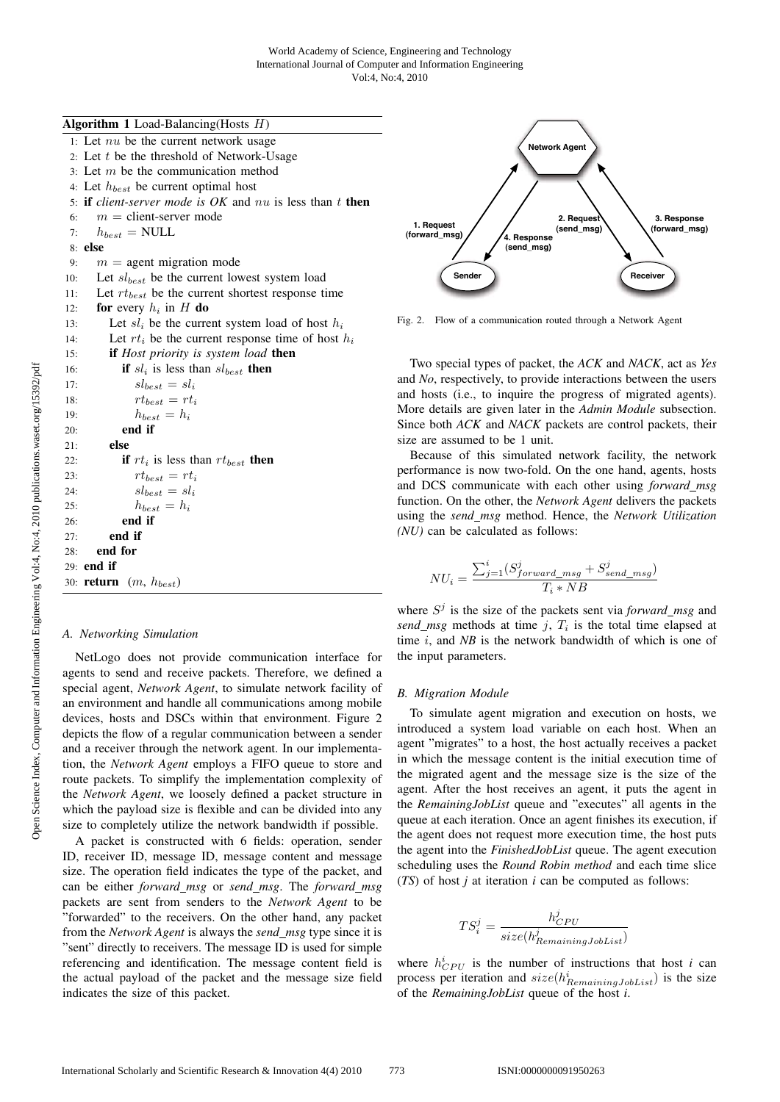**Algorithm 1** Load-Balancing(Hosts  $H$ )

1: Let  $nu$  be the current network usage 2: Let  $t$  be the threshold of Network-Usage 3: Let  $m$  be the communication method 4: Let  $h_{best}$  be current optimal host 5: if *client-server mode is OK* and nu is less than t then 6:  $m =$  client-server mode 7:  $h_{best}$  = NULL 8: else 9:  $m =$  agent migration mode 10: Let  $sl_{best}$  be the current lowest system load 11: Let  $rt_{best}$  be the current shortest response time 12: for every  $h_i$  in H do 13: Let  $sl_i$  be the current system load of host  $h_i$ 14: Let  $rt_i$  be the current response time of host  $h_i$ 15: if *Host priority is system load* then 16: **if**  $sl_i$  is less than  $sl_{best}$  **then** 17:  $s l_{best} = s l_i$ 18:  $rt_{best} = rt_i$ 19:  $h_{best} = h_i$ 20: end if  $21 \cdot$  else 22: **if**  $rt_i$  is less than  $rt_{best}$  then 23:  $rt_{best} = rt_i$ 24:  $s l_{best} = s l_i$ 25:  $h_{best} = h_i$ 26: end if 27: end if 28: end for 29: end if 30: return  $(m, h_{best})$ 

#### *A. Networking Simulation*

NetLogo does not provide communication interface for agents to send and receive packets. Therefore, we defined a special agent, *Network Agent*, to simulate network facility of an environment and handle all communications among mobile devices, hosts and DSCs within that environment. Figure 2 depicts the flow of a regular communication between a sender and a receiver through the network agent. In our implementation, the *Network Agent* employs a FIFO queue to store and route packets. To simplify the implementation complexity of the *Network Agent*, we loosely defined a packet structure in which the payload size is flexible and can be divided into any size to completely utilize the network bandwidth if possible.

A packet is constructed with 6 fields: operation, sender ID, receiver ID, message ID, message content and message size. The operation field indicates the type of the packet, and can be either *forward msg* or *send msg*. The *forward msg* packets are sent from senders to the *Network Agent* to be "forwarded" to the receivers. On the other hand, any packet from the *Network Agent* is always the *send msg* type since it is "sent" directly to receivers. The message ID is used for simple referencing and identification. The message content field is the actual payload of the packet and the message size field indicates the size of this packet.



Fig. 2. Flow of a communication routed through a Network Agent

Two special types of packet, the *ACK* and *NACK*, act as *Yes* and *No*, respectively, to provide interactions between the users and hosts (i.e., to inquire the progress of migrated agents). More details are given later in the *Admin Module* subsection. Since both *ACK* and *NACK* packets are control packets, their size are assumed to be 1 unit.

Because of this simulated network facility, the network performance is now two-fold. On the one hand, agents, hosts and DCS communicate with each other using *forward msg* function. On the other, the *Network Agent* delivers the packets using the *send msg* method. Hence, the *Network Utilization (NU)* can be calculated as follows:

$$
NU_i = \frac{\sum_{j=1}^{i} (S_{forward\_msg}^j + S_{send\_msg}^j)}{T_i * NB}
$$

where  $S^j$  is the size of the packets sent via *forward* msg and *send\_msg* methods at time j,  $T_i$  is the total time elapsed at time *i*, and *NB* is the network bandwidth of which is one of the input parameters.

#### *B. Migration Module*

To simulate agent migration and execution on hosts, we introduced a system load variable on each host. When an agent "migrates" to a host, the host actually receives a packet in which the message content is the initial execution time of the migrated agent and the message size is the size of the agent. After the host receives an agent, it puts the agent in the *RemainingJobList* queue and "executes" all agents in the queue at each iteration. Once an agent finishes its execution, if the agent does not request more execution time, the host puts the agent into the *FinishedJobList* queue. The agent execution scheduling uses the *Round Robin method* and each time slice (*TS*) of host *j* at iteration *i* can be computed as follows:

$$
TS_i^j = \frac{h_{CPU}^j}{size(h_{RemainingJobList}^j)}
$$

where  $h_{CPU}^{i}$  is the number of instructions that host *i* can process per iteration and  $size(h_{RemainingJobList}^i)$  is the size of the *RemainingJobList* queue of the host *i*.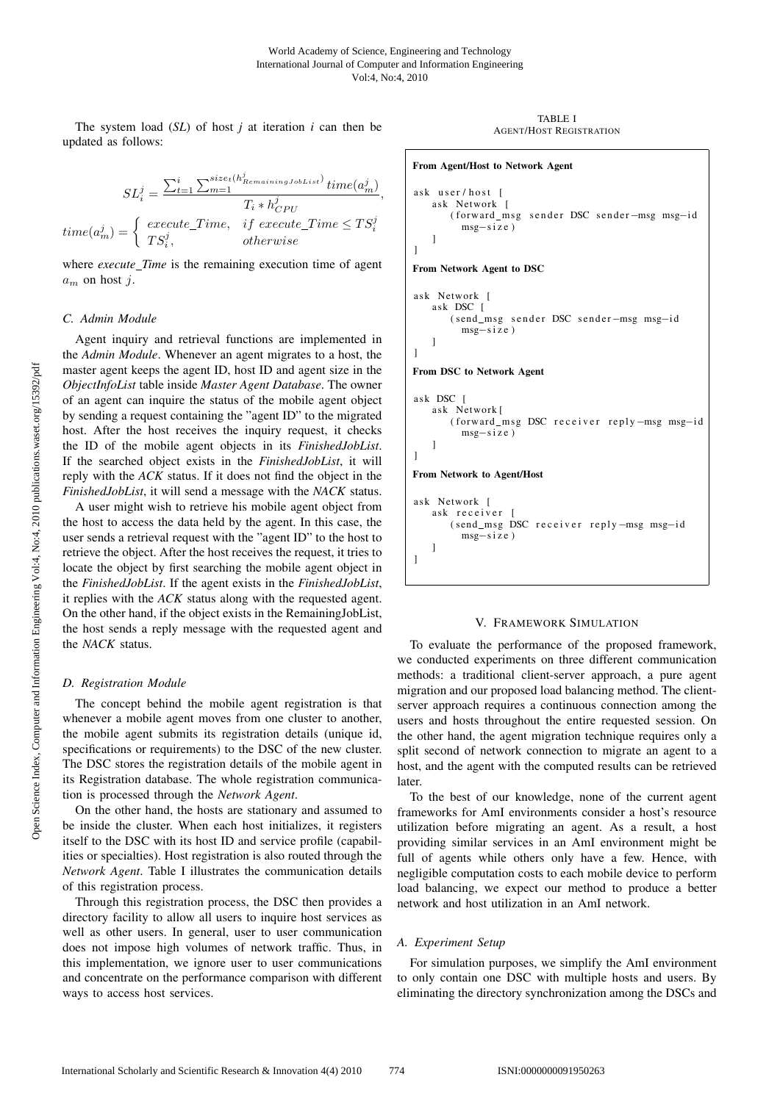The system load (*SL*) of host *j* at iteration *i* can then be updated as follows:

$$
SL_i^j = \frac{\sum_{t=1}^i \sum_{m=1}^{size_t(h_{RemainingJobList}^j)} time(a_m^j)}{T_i * h_{CPU}^j},
$$
  

$$
time(a_m^j) = \begin{cases} execute\_Time, & if execute\_Time \le TS_i^j\\ TS_i^j, & otherwise \end{cases}
$$

where *execute\_Time* is the remaining execution time of agent  $a_m$  on host *i*.

#### *C. Admin Module*

Agent inquiry and retrieval functions are implemented in the *Admin Module*. Whenever an agent migrates to a host, the master agent keeps the agent ID, host ID and agent size in the *ObjectInfoList* table inside *Master Agent Database*. The owner of an agent can inquire the status of the mobile agent object by sending a request containing the "agent ID" to the migrated host. After the host receives the inquiry request, it checks the ID of the mobile agent objects in its *FinishedJobList*. If the searched object exists in the *FinishedJobList*, it will reply with the *ACK* status. If it does not find the object in the *FinishedJobList*, it will send a message with the *NACK* status.

A user might wish to retrieve his mobile agent object from the host to access the data held by the agent. In this case, the user sends a retrieval request with the "agent ID" to the host to retrieve the object. After the host receives the request, it tries to locate the object by first searching the mobile agent object in the *FinishedJobList*. If the agent exists in the *FinishedJobList*, it replies with the *ACK* status along with the requested agent. On the other hand, if the object exists in the RemainingJobList, the host sends a reply message with the requested agent and the *NACK* status.

#### *D. Registration Module*

The concept behind the mobile agent registration is that whenever a mobile agent moves from one cluster to another, the mobile agent submits its registration details (unique id, specifications or requirements) to the DSC of the new cluster. The DSC stores the registration details of the mobile agent in its Registration database. The whole registration communication is processed through the *Network Agent*.

On the other hand, the hosts are stationary and assumed to be inside the cluster. When each host initializes, it registers itself to the DSC with its host ID and service profile (capabilities or specialties). Host registration is also routed through the *Network Agent*. Table I illustrates the communication details of this registration process.

Through this registration process, the DSC then provides a directory facility to allow all users to inquire host services as well as other users. In general, user to user communication does not impose high volumes of network traffic. Thus, in this implementation, we ignore user to user communications and concentrate on the performance comparison with different ways to access host services.

TABLE I AGENT/HOST REGISTRATION

```
From Agent/Host to Network Agent
ask user / host [
   ask Network [
       ( forward_msg sender DSC sender-msg msg-id
         msg−size )
   ]
]
From Network Agent to DSC
ask Network [
   ask DSC [
       ( send_msg sender DSC sender-msg msg-id
         msg−size )
   ]
]
From DSC to Network Agent
ask DSC [
   ask Network [
       ( forward_msg DSC receiver reply -msg msg-id
         msg−size )
   ]
]
From Network to Agent/Host
ask Network [
   ask receiver [
       ( send_msg DSC receiver reply -msg msg-id
         msg−size )
   ]
]
```
# V. FRAMEWORK SIMULATION

To evaluate the performance of the proposed framework, we conducted experiments on three different communication methods: a traditional client-server approach, a pure agent migration and our proposed load balancing method. The clientserver approach requires a continuous connection among the users and hosts throughout the entire requested session. On the other hand, the agent migration technique requires only a split second of network connection to migrate an agent to a host, and the agent with the computed results can be retrieved later.

To the best of our knowledge, none of the current agent frameworks for AmI environments consider a host's resource utilization before migrating an agent. As a result, a host providing similar services in an AmI environment might be full of agents while others only have a few. Hence, with negligible computation costs to each mobile device to perform load balancing, we expect our method to produce a better network and host utilization in an AmI network.

#### *A. Experiment Setup*

For simulation purposes, we simplify the AmI environment to only contain one DSC with multiple hosts and users. By eliminating the directory synchronization among the DSCs and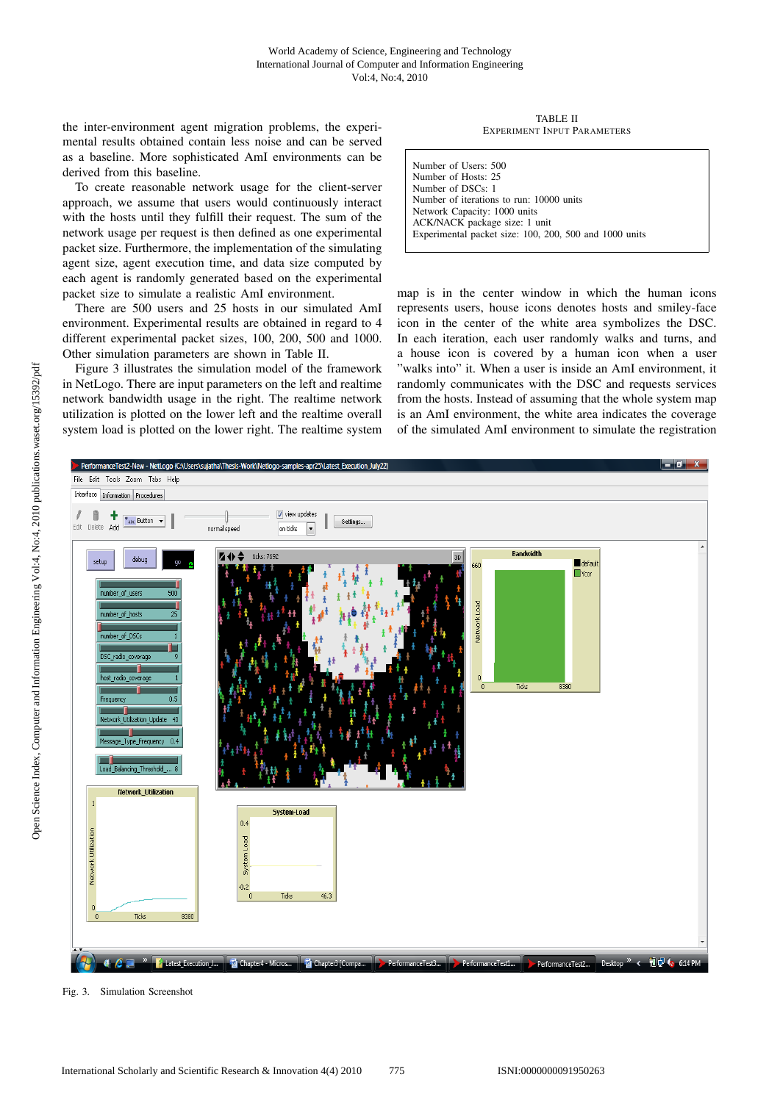the inter-environment agent migration problems, the experimental results obtained contain less noise and can be served as a baseline. More sophisticated AmI environments can be derived from this baseline.

To create reasonable network usage for the client-server approach, we assume that users would continuously interact with the hosts until they fulfill their request. The sum of the network usage per request is then defined as one experimental packet size. Furthermore, the implementation of the simulating agent size, agent execution time, and data size computed by each agent is randomly generated based on the experimental packet size to simulate a realistic AmI environment.

There are 500 users and 25 hosts in our simulated AmI environment. Experimental results are obtained in regard to 4 different experimental packet sizes, 100, 200, 500 and 1000. Other simulation parameters are shown in Table II.

Figure 3 illustrates the simulation model of the framework in NetLogo. There are input parameters on the left and realtime network bandwidth usage in the right. The realtime network utilization is plotted on the lower left and the realtime overall system load is plotted on the lower right. The realtime system

TABLE II EXPERIMENT INPUT PARAMETERS

Number of Users: 500 Number of Hosts: 25 Number of DSCs: 1 Number of iterations to run: 10000 units Network Capacity: 1000 units ACK/NACK package size: 1 unit Experimental packet size: 100, 200, 500 and 1000 units

map is in the center window in which the human icons represents users, house icons denotes hosts and smiley-face icon in the center of the white area symbolizes the DSC. In each iteration, each user randomly walks and turns, and a house icon is covered by a human icon when a user "walks into" it. When a user is inside an AmI environment, it randomly communicates with the DSC and requests services from the hosts. Instead of assuming that the whole system map is an AmI environment, the white area indicates the coverage of the simulated AmI environment to simulate the registration



Fig. 3. Simulation Screenshot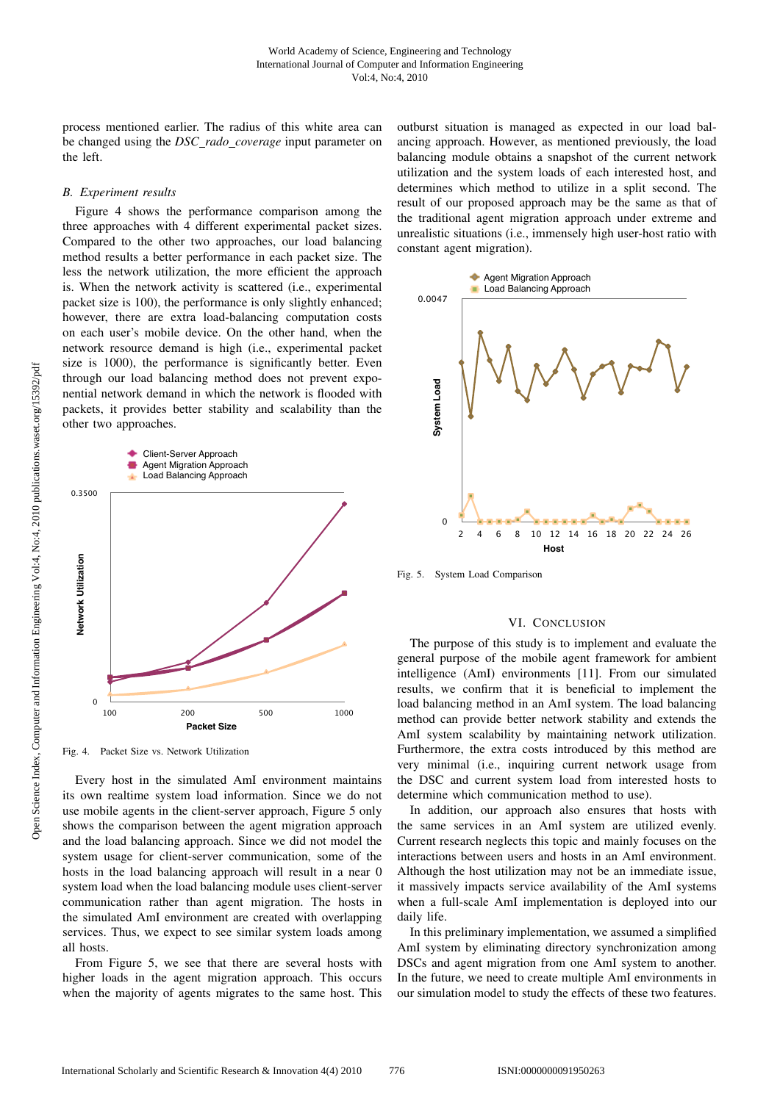process mentioned earlier. The radius of this white area can be changed using the *DSC rado coverage* input parameter on the left.

## *B. Experiment results*

Figure 4 shows the performance comparison among the three approaches with 4 different experimental packet sizes. Compared to the other two approaches, our load balancing method results a better performance in each packet size. The less the network utilization, the more efficient the approach is. When the network activity is scattered (i.e., experimental packet size is 100), the performance is only slightly enhanced; however, there are extra load-balancing computation costs on each user's mobile device. On the other hand, when the network resource demand is high (i.e., experimental packet size is 1000), the performance is significantly better. Even through our load balancing method does not prevent exponential network demand in which the network is flooded with packets, it provides better stability and scalability than the other two approaches.



Fig. 4. Packet Size vs. Network Utilization

Every host in the simulated AmI environment maintains its own realtime system load information. Since we do not use mobile agents in the client-server approach, Figure 5 only shows the comparison between the agent migration approach and the load balancing approach. Since we did not model the system usage for client-server communication, some of the hosts in the load balancing approach will result in a near 0 system load when the load balancing module uses client-server communication rather than agent migration. The hosts in the simulated AmI environment are created with overlapping services. Thus, we expect to see similar system loads among all hosts.

From Figure 5, we see that there are several hosts with higher loads in the agent migration approach. This occurs when the majority of agents migrates to the same host. This outburst situation is managed as expected in our load balancing approach. However, as mentioned previously, the load balancing module obtains a snapshot of the current network utilization and the system loads of each interested host, and determines which method to utilize in a split second. The result of our proposed approach may be the same as that of the traditional agent migration approach under extreme and unrealistic situations (i.e., immensely high user-host ratio with constant agent migration).



Fig. 5. System Load Comparison

# VI. CONCLUSION

The purpose of this study is to implement and evaluate the general purpose of the mobile agent framework for ambient intelligence (AmI) environments [11]. From our simulated results, we confirm that it is beneficial to implement the load balancing method in an AmI system. The load balancing method can provide better network stability and extends the AmI system scalability by maintaining network utilization. Furthermore, the extra costs introduced by this method are very minimal (i.e., inquiring current network usage from the DSC and current system load from interested hosts to determine which communication method to use).

In addition, our approach also ensures that hosts with the same services in an AmI system are utilized evenly. Current research neglects this topic and mainly focuses on the interactions between users and hosts in an AmI environment. Although the host utilization may not be an immediate issue, it massively impacts service availability of the AmI systems when a full-scale AmI implementation is deployed into our daily life.

In this preliminary implementation, we assumed a simplified AmI system by eliminating directory synchronization among DSCs and agent migration from one AmI system to another. In the future, we need to create multiple AmI environments in our simulation model to study the effects of these two features.